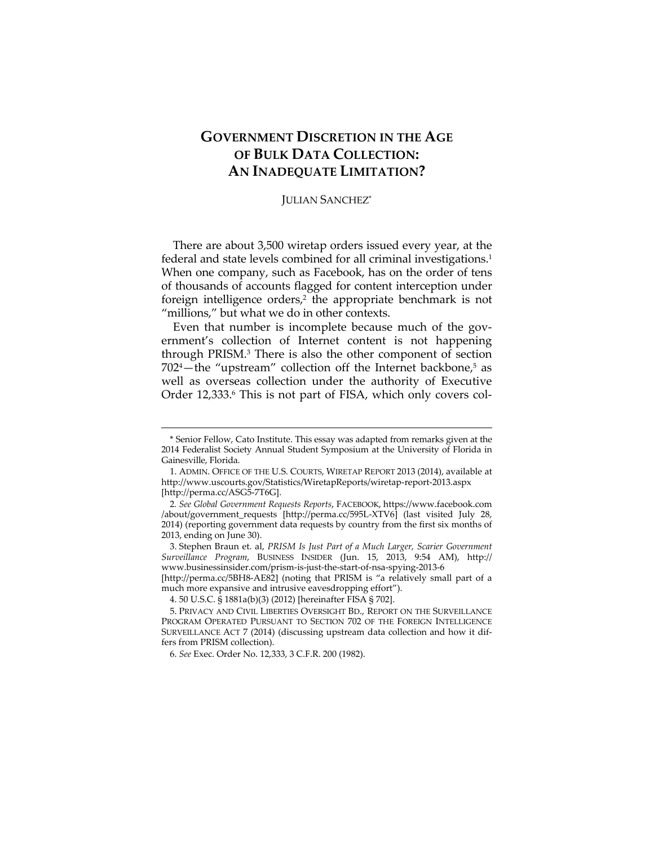## **GOVERNMENT DISCRETION IN THE AGE OF BULK DATA COLLECTION: AN INADEQUATE LIMITATION?**

## JULIAN SANCHEZ\*

There are about 3,500 wiretap orders issued every year, at the federal and state levels combined for all criminal investigations.<sup>1</sup> When one company, such as Facebook, has on the order of tens of thousands of accounts flagged for content interception under foreign intelligence orders $i^2$  the appropriate benchmark is not "millions," but what we do in other contexts.

Even that number is incomplete because much of the government's collection of Internet content is not happening through PRISM.3 There is also the other component of section  $702<sup>4</sup>$ -the "upstream" collection off the Internet backbone, $5$  as well as overseas collection under the authority of Executive Order 12,333.6 This is not part of FISA, which only covers col-

<u> 1989 - Johann Barn, mars ann an t-Amhain an t-Amhain ann an t-Amhain an t-Amhain an t-Amhain an t-Amhain an t-</u>

[http://perma.cc/5BH8-AE82] (noting that PRISM is "a relatively small part of a much more expansive and intrusive eavesdropping effort").

<sup>\*</sup> Senior Fellow, Cato Institute. This essay was adapted from remarks given at the 2014 Federalist Society Annual Student Symposium at the University of Florida in Gainesville, Florida.

 <sup>1.</sup> ADMIN. OFFICE OF THE U.S. COURTS, WIRETAP REPORT 2013 (2014), available at http://www.uscourts.gov/Statistics/WiretapReports/wiretap-report-2013.aspx [http://perma.cc/ASG5-7T6G].

<sup>2</sup>*. See Global Government Requests Reports*, FACEBOOK, https://www.facebook.com /about/government\_requests [http://perma.cc/595L-XTV6] (last visited July 28, 2014) (reporting government data requests by country from the first six months of 2013, ending on June 30).

 <sup>3.</sup> Stephen Braun et. al, *PRISM Is Just Part of a Much Larger, Scarier Government Surveillance Program*, BUSINESS INSIDER (Jun. 15, 2013, 9:54 AM), http:// www.businessinsider.com/prism-is-just-the-start-of-nsa-spying-2013-6

 <sup>4. 50</sup> U.S.C. § 1881a(b)(3) (2012) [hereinafter FISA § 702].

 <sup>5.</sup> PRIVACY AND CIVIL LIBERTIES OVERSIGHT BD., REPORT ON THE SURVEILLANCE PROGRAM OPERATED PURSUANT TO SECTION 702 OF THE FOREIGN INTELLIGENCE SURVEILLANCE ACT 7 (2014) (discussing upstream data collection and how it differs from PRISM collection).

 <sup>6.</sup> *See* Exec. Order No. 12,333, 3 C.F.R. 200 (1982).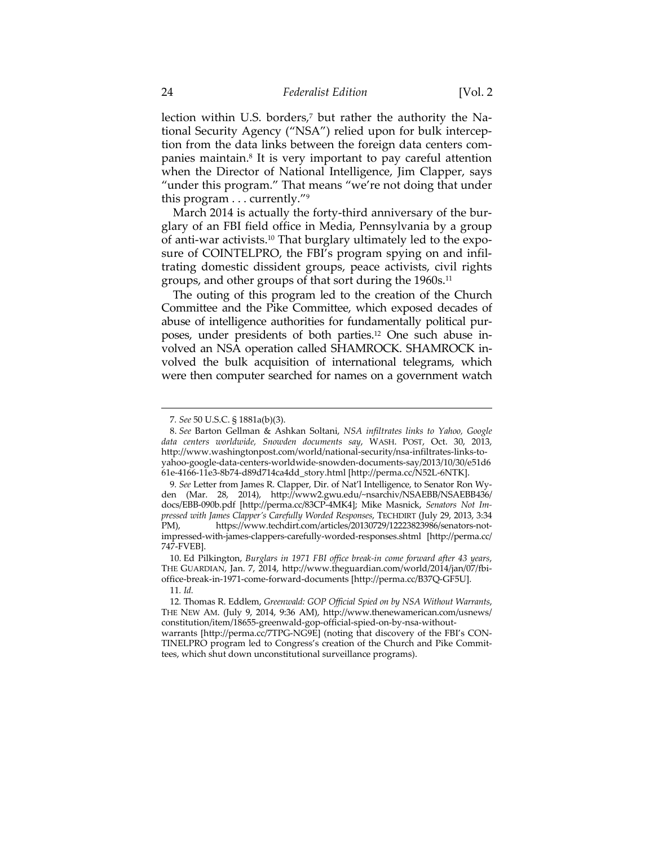lection within U.S. borders,<sup>7</sup> but rather the authority the National Security Agency ("NSA") relied upon for bulk interception from the data links between the foreign data centers companies maintain.8 It is very important to pay careful attention when the Director of National Intelligence, Jim Clapper, says "under this program." That means "we're not doing that under this program . . . currently."9

March 2014 is actually the forty-third anniversary of the burglary of an FBI field office in Media, Pennsylvania by a group of anti-war activists.10 That burglary ultimately led to the exposure of COINTELPRO, the FBI's program spying on and infiltrating domestic dissident groups, peace activists, civil rights groups, and other groups of that sort during the 1960s.<sup>11</sup>

The outing of this program led to the creation of the Church Committee and the Pike Committee, which exposed decades of abuse of intelligence authorities for fundamentally political purposes, under presidents of both parties.12 One such abuse involved an NSA operation called SHAMROCK. SHAMROCK involved the bulk acquisition of international telegrams, which were then computer searched for names on a government watch

<sup>7</sup>*. See* 50 U.S.C. § 1881a(b)(3).

 <sup>8.</sup> *See* Barton Gellman & Ashkan Soltani, *NSA infiltrates links to Yahoo, Google data centers worldwide, Snowden documents say*, WASH. POST, Oct. 30, 2013, http://www.washingtonpost.com/world/national-security/nsa-infiltrates-links-toyahoo-google-data-centers-worldwide-snowden-documents-say/2013/10/30/e51d6 61e-4166-11e3-8b74-d89d714ca4dd\_story.html [http://perma.cc/N52L-6NTK].

<sup>9</sup>*. See* Letter from James R. Clapper, Dir. of Nat'l Intelligence, to Senator Ron Wyden (Mar. 28, 2014), http://www2.gwu.edu/~nsarchiv/NSAEBB/NSAEBB436/ docs/EBB-090b.pdf [http://perma.cc/83CP-4MK4]; Mike Masnick, *Senators Not Impressed with James Clapper's Carefully Worded Responses*, TECHDIRT (July 29, 2013, 3:34 PM), https://www.techdirt.com/articles/20130729/12223823986/senators-notimpressed-with-james-clappers-carefully-worded-responses.shtml [http://perma.cc/ 747-FVEB].

 <sup>10.</sup> Ed Pilkington, *Burglars in 1971 FBI office break-in come forward after 43 years*, THE GUARDIAN, Jan. 7, 2014, http://www.theguardian.com/world/2014/jan/07/fbioffice-break-in-1971-come-forward-documents [http://perma.cc/B37Q-GF5U]. 11*. Id.*

<sup>12</sup>*.* Thomas R. Eddlem, *Greenwald: GOP Official Spied on by NSA Without Warrants*, THE NEW AM. (July 9, 2014, 9:36 AM), http://www.thenewamerican.com/usnews/ constitution/item/18655-greenwald-gop-official-spied-on-by-nsa-withoutwarrants [http://perma.cc/7TPG-NG9E] (noting that discovery of the FBI's CON-TINELPRO program led to Congress's creation of the Church and Pike Committees, which shut down unconstitutional surveillance programs).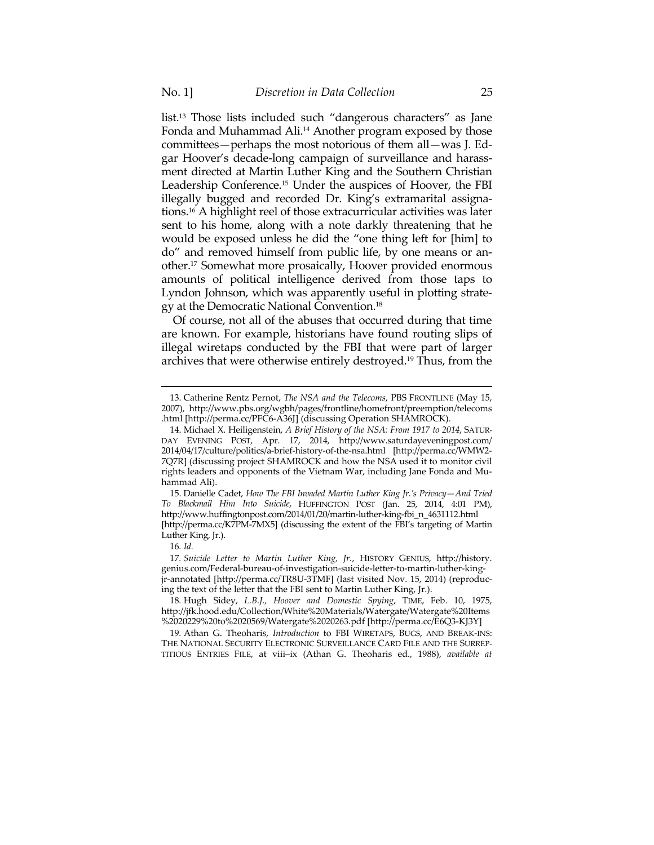list.13 Those lists included such "dangerous characters" as Jane Fonda and Muhammad Ali.<sup>14</sup> Another program exposed by those committees—perhaps the most notorious of them all—was J. Edgar Hoover's decade-long campaign of surveillance and harassment directed at Martin Luther King and the Southern Christian Leadership Conference.15 Under the auspices of Hoover, the FBI illegally bugged and recorded Dr. King's extramarital assignations.16 A highlight reel of those extracurricular activities was later sent to his home, along with a note darkly threatening that he would be exposed unless he did the "one thing left for [him] to do" and removed himself from public life, by one means or another.17 Somewhat more prosaically, Hoover provided enormous amounts of political intelligence derived from those taps to Lyndon Johnson, which was apparently useful in plotting strategy at the Democratic National Convention.18

Of course, not all of the abuses that occurred during that time are known. For example, historians have found routing slips of illegal wiretaps conducted by the FBI that were part of larger archives that were otherwise entirely destroyed.19 Thus, from the

<u> 1989 - Johann Barn, mars ann an t-Amhain an t-Amhain ann an t-Amhain an t-Amhain an t-Amhain an t-Amhain an t-</u>

 15. Danielle Cadet, *How The FBI Invaded Martin Luther King Jr.'s Privacy—And Tried To Blackmail Him Into Suicide*, HUFFINGTON POST (Jan. 25, 2014, 4:01 PM), http://www.huffingtonpost.com/2014/01/20/martin-luther-king-fbi\_n\_4631112.html [http://perma.cc/K7PM-7MX5] (discussing the extent of the FBI's targeting of Martin Luther King, Jr.).

16*. Id.*

17*. Suicide Letter to Martin Luther King, Jr.*, HISTORY GENIUS, http://history. genius.com/Federal-bureau-of-investigation-suicide-letter-to-martin-luther-kingjr-annotated [http://perma.cc/TR8U-3TMF] (last visited Nov. 15, 2014) (reproducing the text of the letter that the FBI sent to Martin Luther King, Jr.).

18*.* Hugh Sidey, *L.B.J., Hoover and Domestic Spying*, TIME, Feb. 10, 1975, http://jfk.hood.edu/Collection/White%20Materials/Watergate/Watergate%20Items %2020229%20to%2020569/Watergate%2020263.pdf [http://perma.cc/E6Q3-KJ3Y]

19*.* Athan G. Theoharis, *Introduction* to FBI WIRETAPS, BUGS, AND BREAK-INS: THE NATIONAL SECURITY ELECTRONIC SURVEILLANCE CARD FILE AND THE SURREP-TITIOUS ENTRIES FILE, at viii–ix (Athan G. Theoharis ed., 1988), *available at*

 <sup>13.</sup> Catherine Rentz Pernot, *The NSA and the Telecoms*, PBS FRONTLINE (May 15, 2007), http://www.pbs.org/wgbh/pages/frontline/homefront/preemption/telecoms .html [http://perma.cc/PFC6-A36J] (discussing Operation SHAMROCK).

 <sup>14.</sup> Michael X. Heiligenstein, *A Brief History of the NSA: From 1917 to 2014*, SATUR-DAY EVENING POST, Apr. 17, 2014, http://www.saturdayeveningpost.com/ 2014/04/17/culture/politics/a-brief-history-of-the-nsa.html [http://perma.cc/WMW2- 7Q7R] (discussing project SHAMROCK and how the NSA used it to monitor civil rights leaders and opponents of the Vietnam War, including Jane Fonda and Muhammad Ali).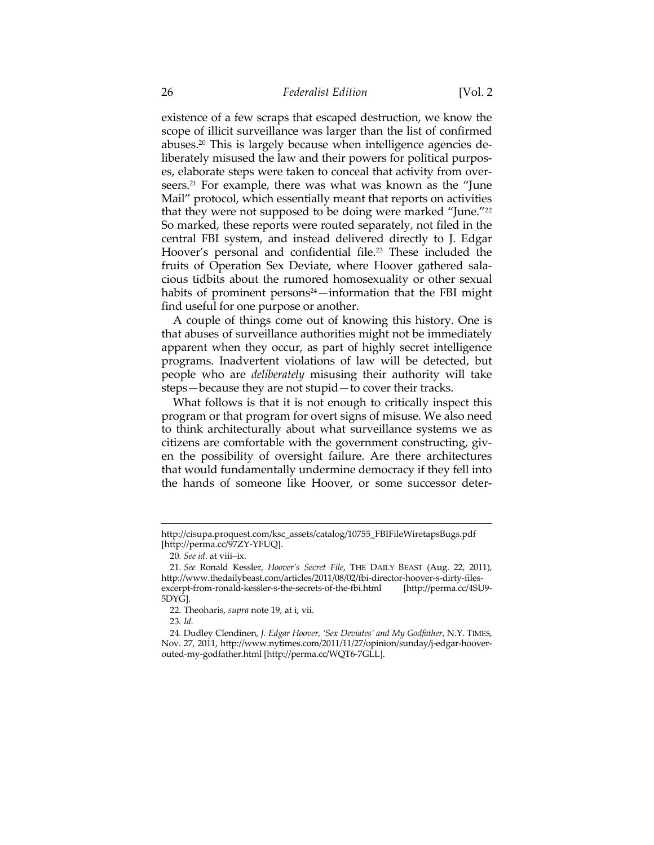existence of a few scraps that escaped destruction, we know the scope of illicit surveillance was larger than the list of confirmed abuses.20 This is largely because when intelligence agencies deliberately misused the law and their powers for political purposes, elaborate steps were taken to conceal that activity from overseers.21 For example, there was what was known as the "June Mail" protocol, which essentially meant that reports on activities that they were not supposed to be doing were marked "June."22 So marked, these reports were routed separately, not filed in the central FBI system, and instead delivered directly to J. Edgar Hoover's personal and confidential file.<sup>23</sup> These included the fruits of Operation Sex Deviate, where Hoover gathered salacious tidbits about the rumored homosexuality or other sexual habits of prominent persons $24$ —information that the FBI might find useful for one purpose or another.

A couple of things come out of knowing this history. One is that abuses of surveillance authorities might not be immediately apparent when they occur, as part of highly secret intelligence programs. Inadvertent violations of law will be detected, but people who are *deliberately* misusing their authority will take steps—because they are not stupid—to cover their tracks.

What follows is that it is not enough to critically inspect this program or that program for overt signs of misuse. We also need to think architecturally about what surveillance systems we as citizens are comfortable with the government constructing, given the possibility of oversight failure. Are there architectures that would fundamentally undermine democracy if they fell into the hands of someone like Hoover, or some successor deter-

<u> 1989 - Johann Barn, mars ann an t-Amhain an t-Amhain ann an t-Amhain an t-Amhain an t-Amhain an t-Amhain an t-</u>

23*. Id.*

http://cisupa.proquest.com/ksc\_assets/catalog/10755\_FBIFileWiretapsBugs.pdf [http://perma.cc/97ZY-YFUQ].

<sup>20</sup>*. See id*. at viii–ix.

<sup>21</sup>*. See* Ronald Kessler, *Hoover's Secret File*, THE DAILY BEAST (Aug. 22, 2011), http://www.thedailybeast.com/articles/2011/08/02/fbi-director-hoover-s-dirty-filesexcerpt-from-ronald-kessler-s-the-secrets-of-the-fbi.html [http://perma.cc/4SU9- 5DYG].

<sup>22</sup>*.* Theoharis, *supra* note 19, at i, vii.

<sup>24</sup>*.* Dudley Clendinen, *J. Edgar Hoover, 'Sex Deviates' and My Godfather*, N.Y. TIMES, Nov. 27, 2011, http://www.nytimes.com/2011/11/27/opinion/sunday/j-edgar-hooverouted-my-godfather.html [http://perma.cc/WQT6-7GLL].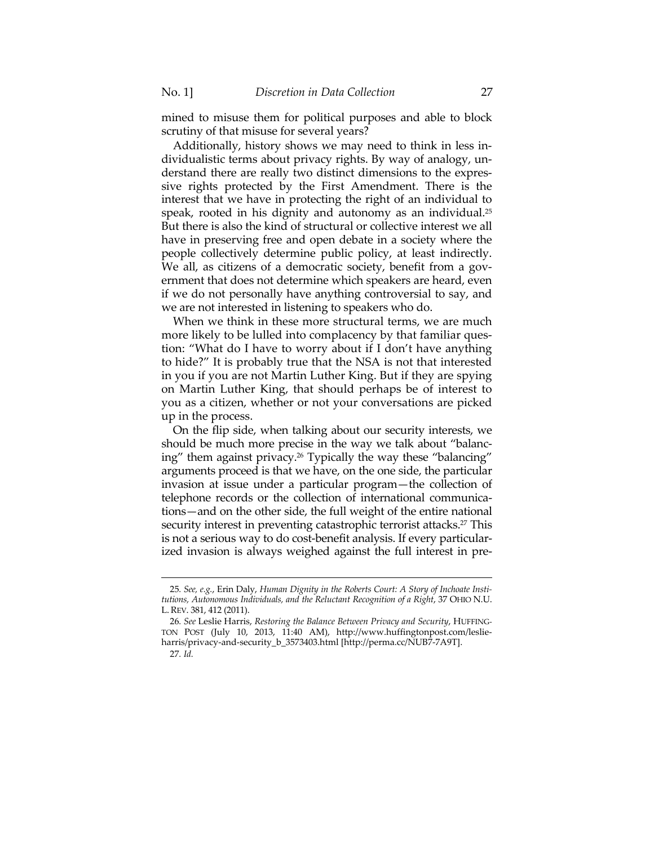mined to misuse them for political purposes and able to block scrutiny of that misuse for several years?

Additionally, history shows we may need to think in less individualistic terms about privacy rights. By way of analogy, understand there are really two distinct dimensions to the expressive rights protected by the First Amendment. There is the interest that we have in protecting the right of an individual to speak, rooted in his dignity and autonomy as an individual.<sup>25</sup> But there is also the kind of structural or collective interest we all have in preserving free and open debate in a society where the people collectively determine public policy, at least indirectly. We all, as citizens of a democratic society, benefit from a government that does not determine which speakers are heard, even if we do not personally have anything controversial to say, and we are not interested in listening to speakers who do.

When we think in these more structural terms, we are much more likely to be lulled into complacency by that familiar question: "What do I have to worry about if I don't have anything to hide?" It is probably true that the NSA is not that interested in you if you are not Martin Luther King. But if they are spying on Martin Luther King, that should perhaps be of interest to you as a citizen, whether or not your conversations are picked up in the process.

On the flip side, when talking about our security interests, we should be much more precise in the way we talk about "balancing" them against privacy.<sup>26</sup> Typically the way these "balancing" arguments proceed is that we have, on the one side, the particular invasion at issue under a particular program—the collection of telephone records or the collection of international communications—and on the other side, the full weight of the entire national security interest in preventing catastrophic terrorist attacks.<sup>27</sup> This is not a serious way to do cost-benefit analysis. If every particularized invasion is always weighed against the full interest in pre-

<u> 1989 - Johann Stein, marwolaethau a bhann an t-Amhain an t-Amhain an t-Amhain an t-Amhain an t-Amhain an t-A</u>

<sup>25</sup>*. See, e.g.*, Erin Daly, *Human Dignity in the Roberts Court: A Story of Inchoate Institutions, Autonomous Individuals, and the Reluctant Recognition of a Right*, 37 OHIO N.U. L. REV. 381, 412 (2011).

<sup>26</sup>*. See* Leslie Harris, *Restoring the Balance Between Privacy and Security*, HUFFING-TON POST (July 10, 2013, 11:40 AM), http://www.huffingtonpost.com/leslieharris/privacy-and-security\_b\_3573403.html [http://perma.cc/NUB7-7A9T]. 27*. Id.*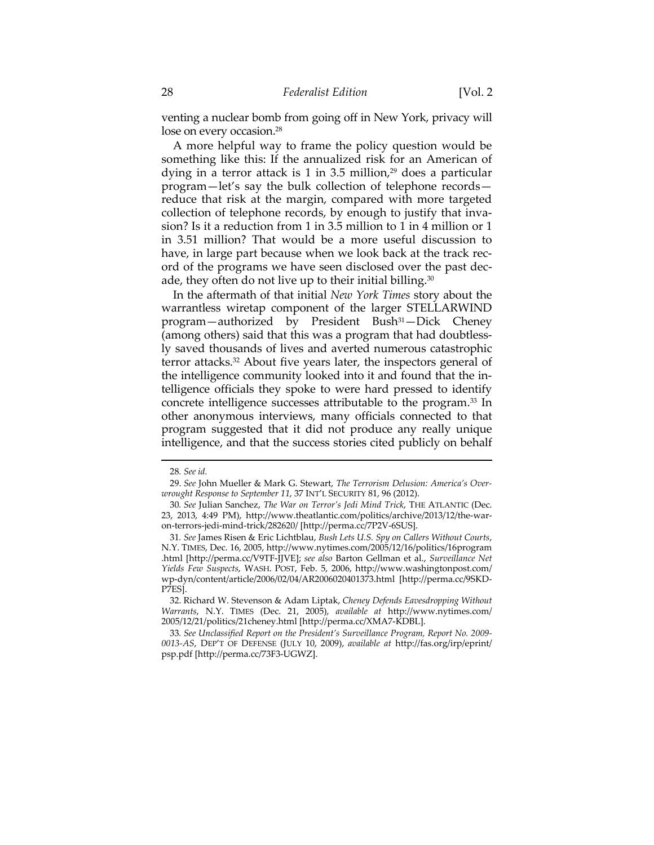venting a nuclear bomb from going off in New York, privacy will lose on every occasion.<sup>28</sup>

A more helpful way to frame the policy question would be something like this: If the annualized risk for an American of dying in a terror attack is 1 in 3.5 million, $29$  does a particular program—let's say the bulk collection of telephone records reduce that risk at the margin, compared with more targeted collection of telephone records, by enough to justify that invasion? Is it a reduction from 1 in 3.5 million to 1 in 4 million or 1 in 3.51 million? That would be a more useful discussion to have, in large part because when we look back at the track record of the programs we have seen disclosed over the past decade, they often do not live up to their initial billing.<sup>30</sup>

In the aftermath of that initial *New York Times* story about the warrantless wiretap component of the larger STELLARWIND program—authorized by President Bush<sup>31</sup>—Dick Cheney (among others) said that this was a program that had doubtlessly saved thousands of lives and averted numerous catastrophic terror attacks.32 About five years later, the inspectors general of the intelligence community looked into it and found that the intelligence officials they spoke to were hard pressed to identify concrete intelligence successes attributable to the program.33 In other anonymous interviews, many officials connected to that program suggested that it did not produce any really unique intelligence, and that the success stories cited publicly on behalf

<u> 1989 - Johann Stein, marwolaethau a bhannaich an t-Amhair an t-Amhair an t-Amhair an t-Amhair an t-Amhair an</u>

<sup>28</sup>*. See id.*

 <sup>29.</sup> *See* John Mueller & Mark G. Stewart, *The Terrorism Delusion: America's Overwrought Response to September 11*, 37 INT'L SECURITY 81, 96 (2012).

<sup>30</sup>*. See* Julian Sanchez, *The War on Terror's Jedi Mind Trick*, THE ATLANTIC (Dec. 23, 2013, 4:49 PM), http://www.theatlantic.com/politics/archive/2013/12/the-waron-terrors-jedi-mind-trick/282620/ [http://perma.cc/7P2V-6SUS].

<sup>31</sup>*. See* James Risen & Eric Lichtblau, *Bush Lets U.S. Spy on Callers Without Courts*, N.Y. TIMES, Dec. 16, 2005, http://www.nytimes.com/2005/12/16/politics/16program .html [http://perma.cc/V9TF-JJVE]; *see also* Barton Gellman et al., *Surveillance Net Yields Few Suspects*, WASH. POST, Feb. 5, 2006, http://www.washingtonpost.com/ wp-dyn/content/article/2006/02/04/AR2006020401373.html [http://perma.cc/9SKD-P7ES].

 <sup>32.</sup> Richard W. Stevenson & Adam Liptak, *Cheney Defends Eavesdropping Without Warrants*, N.Y. TIMES (Dec. 21, 2005), *available at* http://www.nytimes.com/ 2005/12/21/politics/21cheney.html [http://perma.cc/XMA7-KDBL].

<sup>33</sup>*. See Unclassified Report on the President's Surveillance Program, Report No. 2009- 0013-AS*, DEP'T OF DEFENSE (JULY 10, 2009), *available at* http://fas.org/irp/eprint/ psp.pdf [http://perma.cc/73F3-UGWZ].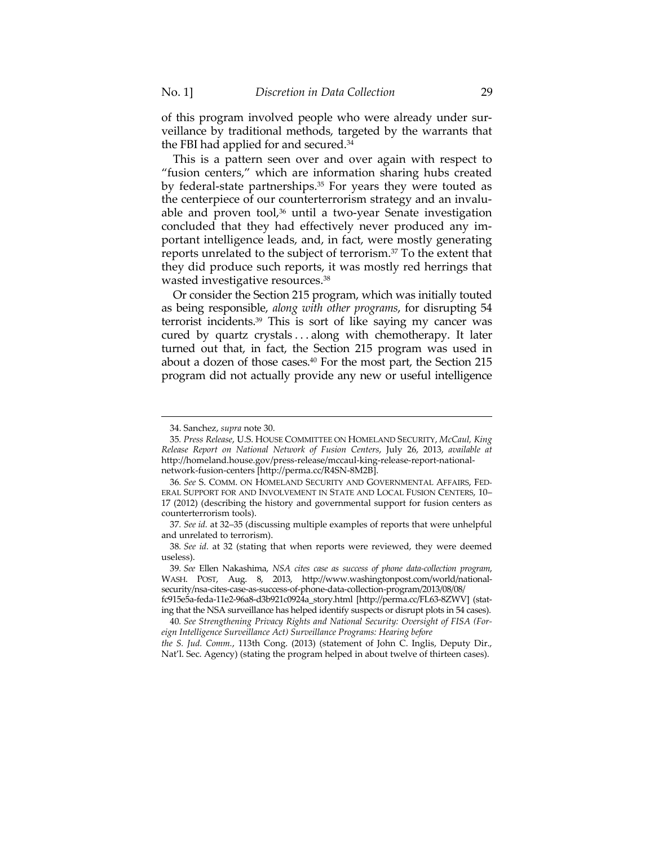of this program involved people who were already under surveillance by traditional methods, targeted by the warrants that the FBI had applied for and secured.34

This is a pattern seen over and over again with respect to "fusion centers," which are information sharing hubs created by federal-state partnerships.<sup>35</sup> For years they were touted as the centerpiece of our counterterrorism strategy and an invaluable and proven tool, $36$  until a two-year Senate investigation concluded that they had effectively never produced any important intelligence leads, and, in fact, were mostly generating reports unrelated to the subject of terrorism.37 To the extent that they did produce such reports, it was mostly red herrings that wasted investigative resources.38

Or consider the Section 215 program, which was initially touted as being responsible, *along with other programs*, for disrupting 54 terrorist incidents.39 This is sort of like saying my cancer was cured by quartz crystals . . . along with chemotherapy. It later turned out that, in fact, the Section 215 program was used in about a dozen of those cases.40 For the most part, the Section 215 program did not actually provide any new or useful intelligence

<u> 1989 - Johann Stein, marwolaethau a bhann an t-Amhain an t-Amhain an t-Amhain an t-Amhain an t-Amhain an t-A</u>

 <sup>34.</sup> Sanchez, *supra* note 30.

<sup>35</sup>*. Press Release*, U.S. HOUSE COMMITTEE ON HOMELAND SECURITY, *McCaul, King Release Report on National Network of Fusion Centers*, July 26, 2013, *available at* http://homeland.house.gov/press-release/mccaul-king-release-report-nationalnetwork-fusion-centers [http://perma.cc/R4SN-8M2B].

<sup>36</sup>*. See* S. COMM. ON HOMELAND SECURITY AND GOVERNMENTAL AFFAIRS, FED-ERAL SUPPORT FOR AND INVOLVEMENT IN STATE AND LOCAL FUSION CENTERS, 10– 17 (2012) (describing the history and governmental support for fusion centers as counterterrorism tools).

<sup>37</sup>*. See id.* at 32–35 (discussing multiple examples of reports that were unhelpful and unrelated to terrorism).

<sup>38</sup>*. See id.* at 32 (stating that when reports were reviewed, they were deemed useless).

<sup>39</sup>*. See* Ellen Nakashima, *NSA cites case as success of phone data-collection program*, WASH. POST, Aug. 8, 2013, http://www.washingtonpost.com/world/nationalsecurity/nsa-cites-case-as-success-of-phone-data-collection-program/2013/08/08/

fc915e5a-feda-11e2-96a8-d3b921c0924a\_story.html [http://perma.cc/FL63-8ZWV] (stating that the NSA surveillance has helped identify suspects or disrupt plots in 54 cases).

<sup>40</sup>*. See Strengthening Privacy Rights and National Security: Oversight of FISA (Foreign Intelligence Surveillance Act) Surveillance Programs: Hearing before* 

*the S. Jud. Comm.*, 113th Cong. (2013) (statement of John C. Inglis, Deputy Dir., Nat'l. Sec. Agency) (stating the program helped in about twelve of thirteen cases).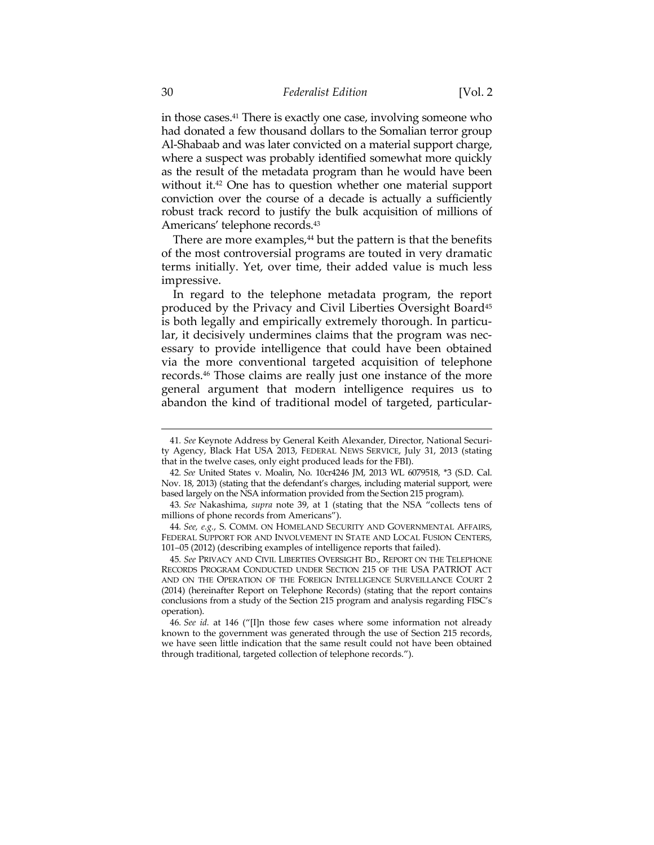in those cases.41 There is exactly one case, involving someone who had donated a few thousand dollars to the Somalian terror group Al-Shabaab and was later convicted on a material support charge, where a suspect was probably identified somewhat more quickly as the result of the metadata program than he would have been without it.<sup>42</sup> One has to question whether one material support conviction over the course of a decade is actually a sufficiently robust track record to justify the bulk acquisition of millions of Americans' telephone records.43

There are more examples,<sup>44</sup> but the pattern is that the benefits of the most controversial programs are touted in very dramatic terms initially. Yet, over time, their added value is much less impressive.

In regard to the telephone metadata program, the report produced by the Privacy and Civil Liberties Oversight Board<sup>45</sup> is both legally and empirically extremely thorough. In particular, it decisively undermines claims that the program was necessary to provide intelligence that could have been obtained via the more conventional targeted acquisition of telephone records.46 Those claims are really just one instance of the more general argument that modern intelligence requires us to abandon the kind of traditional model of targeted, particular-

<sup>41</sup>*. See* Keynote Address by General Keith Alexander, Director, National Security Agency, Black Hat USA 2013, FEDERAL NEWS SERVICE, July 31, 2013 (stating that in the twelve cases, only eight produced leads for the FBI).

<sup>42</sup>*. See* United States v. Moalin, No. 10cr4246 JM, 2013 WL 6079518, \*3 (S.D. Cal. Nov. 18, 2013) (stating that the defendant's charges, including material support, were based largely on the NSA information provided from the Section 215 program).

<sup>43</sup>*. See* Nakashima, *supra* note 39, at 1 (stating that the NSA "collects tens of millions of phone records from Americans").

<sup>44</sup>*. See, e.g.*, S. COMM. ON HOMELAND SECURITY AND GOVERNMENTAL AFFAIRS, FEDERAL SUPPORT FOR AND INVOLVEMENT IN STATE AND LOCAL FUSION CENTERS, 101–05 (2012) (describing examples of intelligence reports that failed).

<sup>45</sup>*. See* PRIVACY AND CIVIL LIBERTIES OVERSIGHT BD., REPORT ON THE TELEPHONE RECORDS PROGRAM CONDUCTED UNDER SECTION 215 OF THE USA PATRIOT ACT AND ON THE OPERATION OF THE FOREIGN INTELLIGENCE SURVEILLANCE COURT 2 (2014) (hereinafter Report on Telephone Records) (stating that the report contains conclusions from a study of the Section 215 program and analysis regarding FISC's operation).

<sup>46</sup>*. See id.* at 146 ("[I]n those few cases where some information not already known to the government was generated through the use of Section 215 records, we have seen little indication that the same result could not have been obtained through traditional, targeted collection of telephone records.").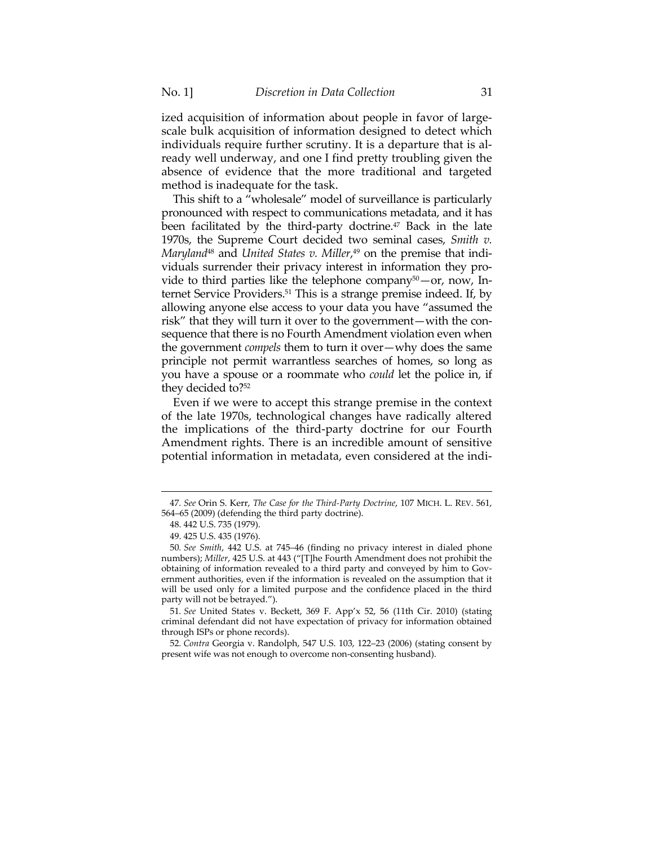ized acquisition of information about people in favor of largescale bulk acquisition of information designed to detect which individuals require further scrutiny. It is a departure that is already well underway, and one I find pretty troubling given the absence of evidence that the more traditional and targeted method is inadequate for the task.

This shift to a "wholesale" model of surveillance is particularly pronounced with respect to communications metadata, and it has been facilitated by the third-party doctrine.<sup>47</sup> Back in the late 1970s, the Supreme Court decided two seminal cases, *Smith v. Maryland*48 and *United States v. Miller*, 49 on the premise that individuals surrender their privacy interest in information they provide to third parties like the telephone company $50 -$ or, now, Internet Service Providers.51 This is a strange premise indeed. If, by allowing anyone else access to your data you have "assumed the risk" that they will turn it over to the government—with the consequence that there is no Fourth Amendment violation even when the government *compels* them to turn it over—why does the same principle not permit warrantless searches of homes, so long as you have a spouse or a roommate who *could* let the police in, if they decided to?52

Even if we were to accept this strange premise in the context of the late 1970s, technological changes have radically altered the implications of the third-party doctrine for our Fourth Amendment rights. There is an incredible amount of sensitive potential information in metadata, even considered at the indi-

51*. See* United States v. Beckett, 369 F. App'x 52, 56 (11th Cir. 2010) (stating criminal defendant did not have expectation of privacy for information obtained through ISPs or phone records).

52*. Contra* Georgia v. Randolph, 547 U.S. 103, 122–23 (2006) (stating consent by present wife was not enough to overcome non-consenting husband).

<sup>&</sup>lt;u> 1989 - Johann Stein, marwolaethau a bhann an t-Amhain an t-Amhain an t-Amhain an t-Amhain an t-Amhain an t-A</u> 47*. See* Orin S. Kerr, *The Case for the Third-Party Doctrine*, 107 MICH. L. REV. 561, 564–65 (2009) (defending the third party doctrine).

 <sup>48. 442</sup> U.S. 735 (1979).

 <sup>49. 425</sup> U.S. 435 (1976).

<sup>50</sup>*. See Smith*, 442 U.S. at 745–46 (finding no privacy interest in dialed phone numbers); *Miller*, 425 U.S. at 443 ("[T]he Fourth Amendment does not prohibit the obtaining of information revealed to a third party and conveyed by him to Government authorities, even if the information is revealed on the assumption that it will be used only for a limited purpose and the confidence placed in the third party will not be betrayed.").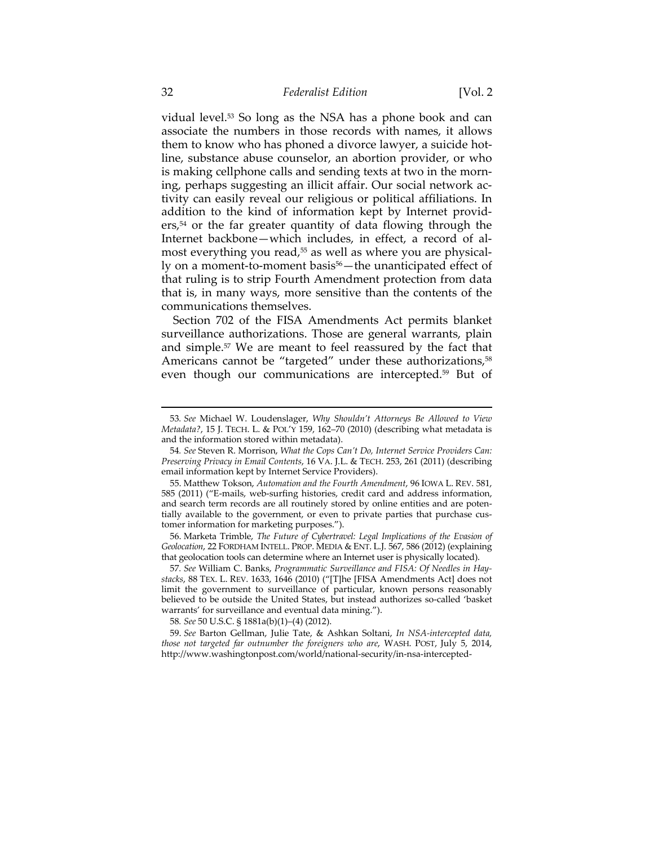vidual level.53 So long as the NSA has a phone book and can associate the numbers in those records with names, it allows them to know who has phoned a divorce lawyer, a suicide hotline, substance abuse counselor, an abortion provider, or who is making cellphone calls and sending texts at two in the morning, perhaps suggesting an illicit affair. Our social network activity can easily reveal our religious or political affiliations. In addition to the kind of information kept by Internet provid $ers<sub>1</sub>$ <sup>54</sup> or the far greater quantity of data flowing through the Internet backbone—which includes, in effect, a record of almost everything you read,<sup>55</sup> as well as where you are physically on a moment-to-moment basis<sup>56</sup>—the unanticipated effect of that ruling is to strip Fourth Amendment protection from data that is, in many ways, more sensitive than the contents of the communications themselves.

Section 702 of the FISA Amendments Act permits blanket surveillance authorizations. Those are general warrants, plain and simple.57 We are meant to feel reassured by the fact that Americans cannot be "targeted" under these authorizations,<sup>58</sup> even though our communications are intercepted.59 But of

<u> 1989 - Johann Barn, mars ann an t-Amhain an t-Amhain ann an t-Amhain an t-Amhain an t-Amhain an t-Amhain an t-</u>

 56. Marketa Trimble, *The Future of Cybertravel: Legal Implications of the Evasion of Geolocation*, 22 FORDHAM INTELL. PROP. MEDIA & ENT. L.J. 567, 586 (2012) (explaining that geolocation tools can determine where an Internet user is physically located).

58*. See* 50 U.S.C. § 1881a(b)(1)–(4) (2012).

 59. *See* Barton Gellman, Julie Tate, & Ashkan Soltani, *In NSA-intercepted data, those not targeted far outnumber the foreigners who are*, WASH. POST, July 5, 2014, http://www.washingtonpost.com/world/national-security/in-nsa-intercepted-

<sup>53</sup>*. See* Michael W. Loudenslager, *Why Shouldn't Attorneys Be Allowed to View Metadata?*, 15 J. TECH. L. & POL'Y 159, 162–70 (2010) (describing what metadata is and the information stored within metadata).

<sup>54</sup>*. See* Steven R. Morrison, *What the Cops Can't Do, Internet Service Providers Can: Preserving Privacy in Email Contents*, 16 VA. J.L. & TECH. 253, 261 (2011) (describing email information kept by Internet Service Providers).

 <sup>55.</sup> Matthew Tokson, *Automation and the Fourth Amendment*, 96 IOWA L. REV. 581, 585 (2011) ("E-mails, web-surfing histories, credit card and address information, and search term records are all routinely stored by online entities and are potentially available to the government, or even to private parties that purchase customer information for marketing purposes.").

<sup>57</sup>*. See* William C. Banks, *Programmatic Surveillance and FISA: Of Needles in Haystacks*, 88 TEX. L. REV. 1633, 1646 (2010) ("[T]he [FISA Amendments Act] does not limit the government to surveillance of particular, known persons reasonably believed to be outside the United States, but instead authorizes so-called 'basket warrants' for surveillance and eventual data mining.").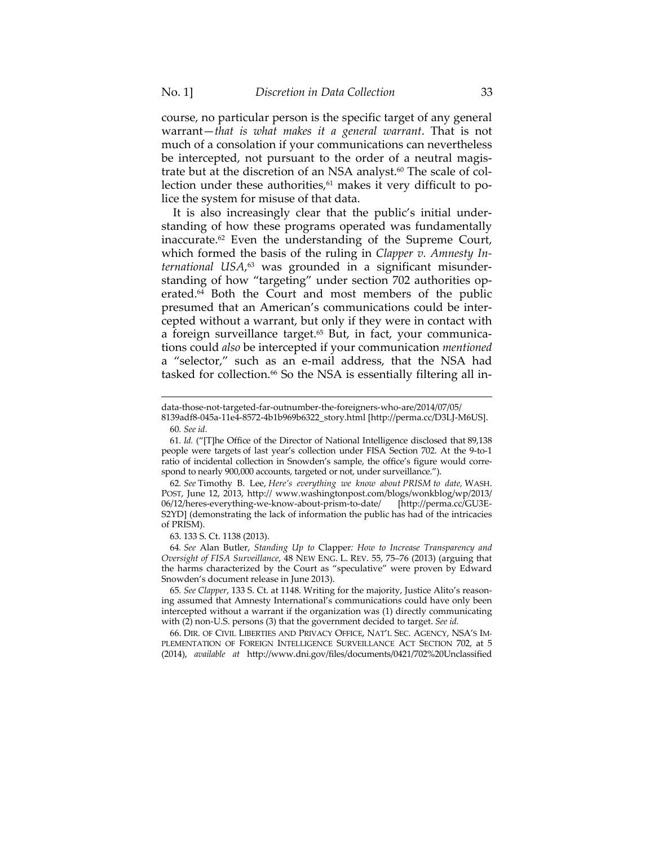course, no particular person is the specific target of any general warrant—*that is what makes it a general warrant*. That is not much of a consolation if your communications can nevertheless be intercepted, not pursuant to the order of a neutral magistrate but at the discretion of an NSA analyst.<sup>60</sup> The scale of collection under these authorities, $61$  makes it very difficult to police the system for misuse of that data.

It is also increasingly clear that the public's initial understanding of how these programs operated was fundamentally inaccurate.62 Even the understanding of the Supreme Court, which formed the basis of the ruling in *Clapper v. Amnesty International USA*, 63 was grounded in a significant misunderstanding of how "targeting" under section 702 authorities operated.64 Both the Court and most members of the public presumed that an American's communications could be intercepted without a warrant, but only if they were in contact with a foreign surveillance target.<sup>65</sup> But, in fact, your communications could *also* be intercepted if your communication *mentioned* a "selector," such as an e-mail address, that the NSA had tasked for collection.<sup>66</sup> So the NSA is essentially filtering all in-

<u> 1989 - Johann Barn, mars ann an t-Amhain an t-Amhain ann an t-Amhain an t-Amhain an t-Amhain an t-Amhain an t-</u>

63. 133 S. Ct. 1138 (2013).

64*. See* Alan Butler, *Standing Up to* Clapper*: How to Increase Transparency and Oversight of FISA Surveillance*, 48 NEW ENG. L. REV. 55, 75–76 (2013) (arguing that the harms characterized by the Court as "speculative" were proven by Edward Snowden's document release in June 2013).

65*. See Clapper*, 133 S. Ct. at 1148. Writing for the majority, Justice Alito's reasoning assumed that Amnesty International's communications could have only been intercepted without a warrant if the organization was (1) directly communicating with (2) non-U.S. persons (3) that the government decided to target. *See id.* 

 66. DIR. OF CIVIL LIBERTIES AND PRIVACY OFFICE, NAT'L SEC. AGENCY, NSA'S IM-PLEMENTATION OF FOREIGN INTELLIGENCE SURVEILLANCE ACT SECTION 702, at 5 (2014), *available at* http://www.dni.gov/files/documents/0421/702%20Unclassified

data-those-not-targeted-far-outnumber-the-foreigners-who-are/2014/07/05/

<sup>8139</sup>adf8-045a-11e4-8572-4b1b969b6322\_story.html [http://perma.cc/D3LJ-M6US]. 60*. See id.*

<sup>61</sup>*. Id.* ("[T]he Office of the Director of National Intelligence disclosed that 89,138 people were targets of last year's collection under FISA Section 702. At the 9-to-1 ratio of incidental collection in Snowden's sample, the office's figure would correspond to nearly 900,000 accounts, targeted or not, under surveillance.").

<sup>62</sup>*. See* Timothy B. Lee, *Here's everything we know about PRISM to date,* WASH. POST, June 12, 2013, http:// www.washingtonpost.com/blogs/wonkblog/wp/2013/ 06/12/heres-everything-we-know-about-prism-to-date/ [http://perma.cc/GU3E-S2YD] (demonstrating the lack of information the public has had of the intricacies of PRISM).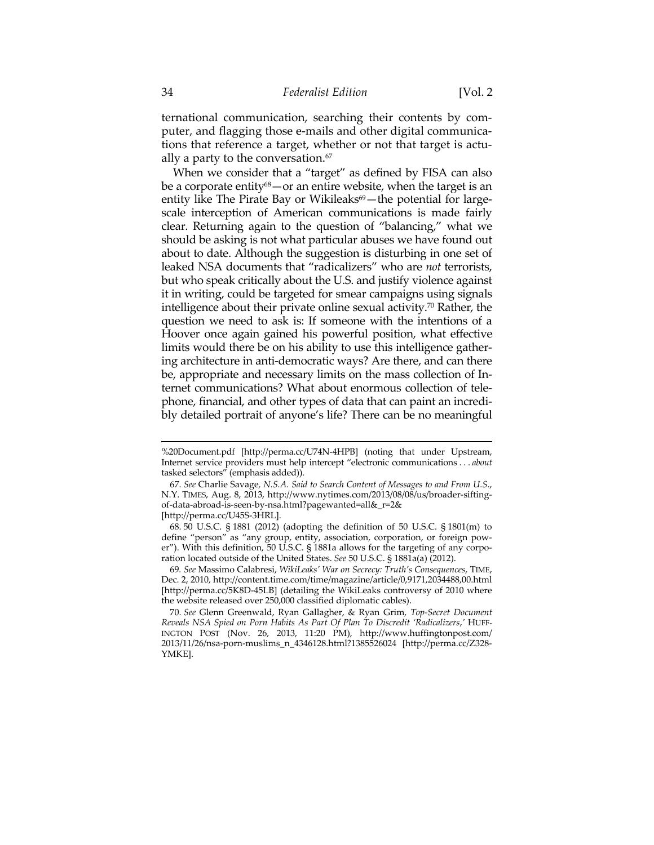ternational communication, searching their contents by computer, and flagging those e-mails and other digital communications that reference a target, whether or not that target is actually a party to the conversation.<sup>67</sup>

When we consider that a "target" as defined by FISA can also be a corporate entity<sup>68</sup> — or an entire website, when the target is an entity like The Pirate Bay or Wikileaks $69$  – the potential for largescale interception of American communications is made fairly clear. Returning again to the question of "balancing," what we should be asking is not what particular abuses we have found out about to date. Although the suggestion is disturbing in one set of leaked NSA documents that "radicalizers" who are *not* terrorists, but who speak critically about the U.S. and justify violence against it in writing, could be targeted for smear campaigns using signals intelligence about their private online sexual activity.70 Rather, the question we need to ask is: If someone with the intentions of a Hoover once again gained his powerful position, what effective limits would there be on his ability to use this intelligence gathering architecture in anti-democratic ways? Are there, and can there be, appropriate and necessary limits on the mass collection of Internet communications? What about enormous collection of telephone, financial, and other types of data that can paint an incredibly detailed portrait of anyone's life? There can be no meaningful

<sup>%20</sup>Document.pdf [http://perma.cc/U74N-4HPB] (noting that under Upstream, Internet service providers must help intercept "electronic communications . . . *about* tasked selectors" (emphasis added)).

 <sup>67.</sup> *See* Charlie Savage*, N.S.A. Said to Search Content of Messages to and From U.S*., N.Y. TIMES, Aug. 8, 2013, http://www.nytimes.com/2013/08/08/us/broader-siftingof-data-abroad-is-seen-by-nsa.html?pagewanted=all&\_r=2& [http://perma.cc/U45S-3HRL].

 <sup>68. 50</sup> U.S.C. § 1881 (2012) (adopting the definition of 50 U.S.C. § 1801(m) to define "person" as "any group, entity, association, corporation, or foreign power"). With this definition, 50 U.S.C. § 1881a allows for the targeting of any corporation located outside of the United States. *See* 50 U.S.C. § 1881a(a) (2012).

<sup>69</sup>*. See* Massimo Calabresi, *WikiLeaks' War on Secrecy: Truth's Consequences*, TIME, Dec. 2, 2010, http://content.time.com/time/magazine/article/0,9171,2034488,00.html [http://perma.cc/5K8D-45LB] (detailing the WikiLeaks controversy of 2010 where the website released over 250,000 classified diplomatic cables).

 <sup>70.</sup> *See* Glenn Greenwald, Ryan Gallagher, & Ryan Grim, *Top-Secret Document Reveals NSA Spied on Porn Habits As Part Of Plan To Discredit 'Radicalizers*,*'* HUFF-INGTON POST (Nov. 26, 2013, 11:20 PM), http://www.huffingtonpost.com/ 2013/11/26/nsa-porn-muslims\_n\_4346128.html?1385526024 [http://perma.cc/Z328- YMKE].